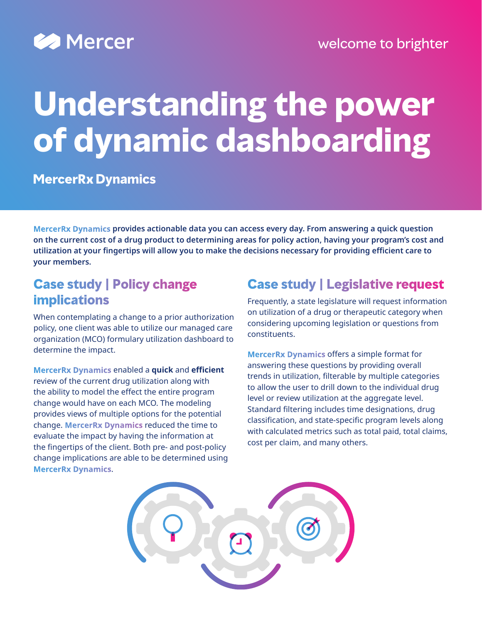

# **Understanding the power of dynamic dashboarding**

**MercerRx Dynamics** 

**MercerRx Dynamics provides actionable data you can access every day. From answering a quick question on the current cost of a drug product to determining areas for policy action, having your program's cost and utilization at your fingertips will allow you to make the decisions necessary for providing efficient care to your members.**

#### **Case study | Policy change implications**

When contemplating a change to a prior authorization policy, one client was able to utilize our managed care organization (MCO) formulary utilization dashboard to determine the impact.

**MercerRx Dynamics** enabled a **quick** and **efficient** review of the current drug utilization along with the ability to model the effect the entire program change would have on each MCO. The modeling provides views of multiple options for the potential change. **MercerRx Dynamics** reduced the time to evaluate the impact by having the information at the fingertips of the client. Both pre- and post-policy change implications are able to be determined using **MercerRx Dynamics**.

## **Case study | Legislative request**

Frequently, a state legislature will request information on utilization of a drug or therapeutic category when considering upcoming legislation or questions from constituents.

**MercerRx Dynamics** offers a simple format for answering these questions by providing overall trends in utilization, filterable by multiple categories to allow the user to drill down to the individual drug level or review utilization at the aggregate level. Standard filtering includes time designations, drug classification, and state-specific program levels along with calculated metrics such as total paid, total claims, cost per claim, and many others.